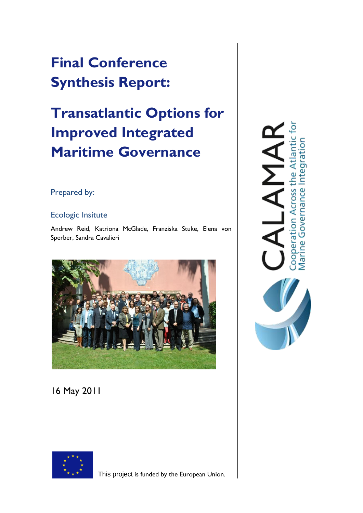# **Final Conference Synthesis Report:**

# **Transatlantic Options for Improved Integrated Maritime Governance**

## Prepared by:

## Ecologic Insitute

Andrew Reid, Katriona McGlade, Franziska Stuke, Elena von Sperber, Sandra Cavalieri



## 16 May 2011



This project is funded by the European Union.

 $\overline{\text{P}}$ Cooperation Across the Atlantic<br>Marine Governance Integration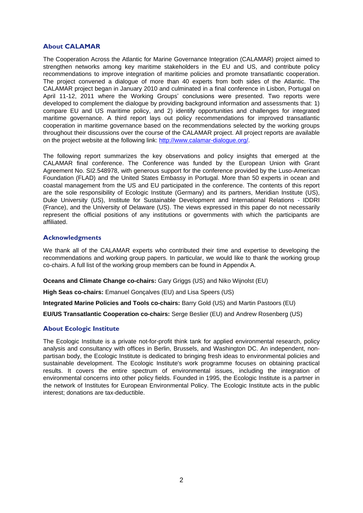#### **About CALAMAR**

The Cooperation Across the Atlantic for Marine Governance Integration (CALAMAR) project aimed to strengthen networks among key maritime stakeholders in the EU and US, and contribute policy recommendations to improve integration of maritime policies and promote transatlantic cooperation. The project convened a dialogue of more than 40 experts from both sides of the Atlantic. The CALAMAR project began in January 2010 and culminated in a final conference in Lisbon, Portugal on April 11-12, 2011 where the Working Groups' conclusions were presented. Two reports were developed to complement the dialogue by providing background information and assessments that: 1) compare EU and US maritime policy, and 2) identify opportunities and challenges for integrated maritime governance. A third report lays out policy recommendations for improved transatlantic cooperation in maritime governance based on the recommendations selected by the working groups throughout their discussions over the course of the CALAMAR project. All project reports are available on the project website at the following link: [http://www.calamar-dialogue.org/.](http://www.calamar-dialogue.org/)

The following report summarizes the key observations and policy insights that emerged at the CALAMAR final conference. The Conference was funded by the European Union with Grant Agreement No. SI2.548978, with generous support for the conference provided by the Luso-American Foundation (FLAD) and the United States Embassy in Portugal. More than 50 experts in ocean and coastal management from the US and EU participated in the conference. The contents of this report are the sole responsibility of Ecologic Institute (Germany) and its partners, Meridian Institute (US), Duke University (US), Institute for Sustainable Development and International Relations - IDDRI (France), and the University of Delaware (US). The views expressed in this paper do not necessarily represent the official positions of any institutions or governments with which the participants are affiliated.

#### **Acknowledgments**

We thank all of the CALAMAR experts who contributed their time and expertise to developing the recommendations and working group papers. In particular, we would like to thank the working group co-chairs. A full list of the working group members can be found in Appendix A.

**Oceans and Climate Change co-chairs:** Gary Griggs (US) and Niko Wijnolst (EU)

**High Seas co-chairs:** Emanuel Gonçalves (EU) and Lisa Speers (US)

**Integrated Marine Policies and Tools co-chairs:** Barry Gold (US) and Martin Pastoors (EU)

**EU/US Transatlantic Cooperation co-chairs:** Serge Beslier (EU) and Andrew Rosenberg (US)

#### **About Ecologic Institute**

The Ecologic Institute is a private not-for-profit think tank for applied environmental research, policy analysis and consultancy with offices in Berlin, Brussels, and Washington DC. An independent, nonpartisan body, the Ecologic Institute is dedicated to bringing fresh ideas to environmental policies and sustainable development. The Ecologic Institute's work programme focuses on obtaining practical results. It covers the entire spectrum of environmental issues, including the integration of environmental concerns into other policy fields. Founded in 1995, the Ecologic Institute is a partner in the network of Institutes for European Environmental Policy. The Ecologic Institute acts in the public interest; donations are tax-deductible.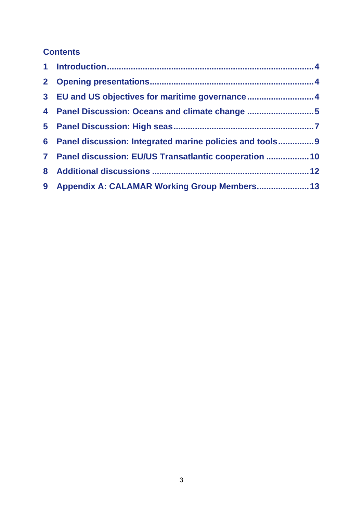## **Contents**

| 3 EU and US objectives for maritime governance4            |  |
|------------------------------------------------------------|--|
| 4 Panel Discussion: Oceans and climate change 5            |  |
|                                                            |  |
| 6 Panel discussion: Integrated marine policies and tools 9 |  |
| 7 Panel discussion: EU/US Transatlantic cooperation  10    |  |
|                                                            |  |
| 9 Appendix A: CALAMAR Working Group Members 13             |  |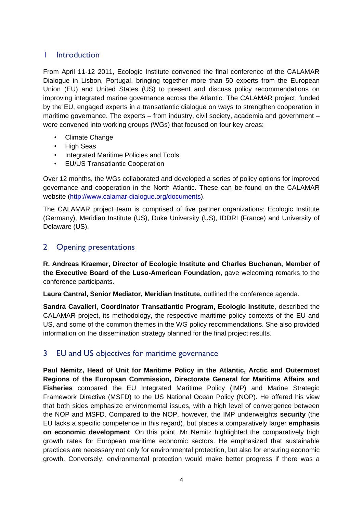## <span id="page-3-0"></span>1 Introduction

From April 11-12 2011, Ecologic Institute convened the final conference of the CALAMAR Dialogue in Lisbon, Portugal, bringing together more than 50 experts from the European Union (EU) and United States (US) to present and discuss policy recommendations on improving integrated marine governance across the Atlantic. The CALAMAR project, funded by the EU, engaged experts in a transatlantic dialogue on ways to strengthen cooperation in maritime governance. The experts – from industry, civil society, academia and government – were convened into working groups (WGs) that focused on four key areas:

- Climate Change
- High Seas
- Integrated Maritime Policies and Tools
- EU/US Transatlantic Cooperation

Over 12 months, the WGs collaborated and developed a series of policy options for improved governance and cooperation in the North Atlantic. These can be found on the CALAMAR website [\(http://www.calamar-dialogue.org/documents\)](http://www.calamar-dialogue.org/documents).

The CALAMAR project team is comprised of five partner organizations: Ecologic Institute (Germany), Meridian Institute (US), Duke University (US), IDDRI (France) and University of Delaware (US).

## <span id="page-3-1"></span>2 Opening presentations

**R. Andreas Kraemer, Director of Ecologic Institute and Charles Buchanan, Member of the Executive Board of the Luso-American Foundation,** gave welcoming remarks to the conference participants.

**Laura Cantral, Senior Mediator, Meridian Institute,** outlined the conference agenda.

**Sandra Cavalieri, Coordinator Transatlantic Program, Ecologic Institute**, described the CALAMAR project, its methodology, the respective maritime policy contexts of the EU and US, and some of the common themes in the WG policy recommendations. She also provided information on the dissemination strategy planned for the final project results.

## <span id="page-3-2"></span>3 EU and US objectives for maritime governance

**Paul Nemitz, Head of Unit for Maritime Policy in the Atlantic, Arctic and Outermost Regions of the European Commission, Directorate General for Maritime Affairs and Fisheries** compared the EU Integrated Maritime Policy (IMP) and Marine Strategic Framework Directive (MSFD) to the US National Ocean Policy (NOP). He offered his view that both sides emphasize environmental issues, with a high level of convergence between the NOP and MSFD. Compared to the NOP, however, the IMP underweights **security** (the EU lacks a specific competence in this regard), but places a comparatively larger **emphasis on economic development**. On this point, Mr Nemitz highlighted the comparatively high growth rates for European maritime economic sectors. He emphasized that sustainable practices are necessary not only for environmental protection, but also for ensuring economic growth. Conversely, environmental protection would make better progress if there was a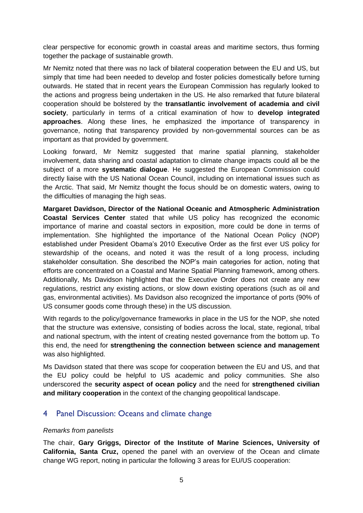clear perspective for economic growth in coastal areas and maritime sectors, thus forming together the package of sustainable growth.

Mr Nemitz noted that there was no lack of bilateral cooperation between the EU and US, but simply that time had been needed to develop and foster policies domestically before turning outwards. He stated that in recent years the European Commission has regularly looked to the actions and progress being undertaken in the US. He also remarked that future bilateral cooperation should be bolstered by the **transatlantic involvement of academia and civil society**, particularly in terms of a critical examination of how to **develop integrated approaches**. Along these lines, he emphasized the importance of transparency in governance, noting that transparency provided by non-governmental sources can be as important as that provided by government.

Looking forward, Mr Nemitz suggested that marine spatial planning, stakeholder involvement, data sharing and coastal adaptation to climate change impacts could all be the subject of a more **systematic dialogue**. He suggested the European Commission could directly liaise with the US National Ocean Council, including on international issues such as the Arctic. That said, Mr Nemitz thought the focus should be on domestic waters, owing to the difficulties of managing the high seas.

**Margaret Davidson, Director of the National Oceanic and Atmospheric Administration Coastal Services Center** stated that while US policy has recognized the economic importance of marine and coastal sectors in exposition, more could be done in terms of implementation. She highlighted the importance of the National Ocean Policy (NOP) established under President Obama"s 2010 Executive Order as the first ever US policy for stewardship of the oceans, and noted it was the result of a long process, including stakeholder consultation. She described the NOP"s main categories for action, noting that efforts are concentrated on a Coastal and Marine Spatial Planning framework, among others. Additionally, Ms Davidson highlighted that the Executive Order does not create any new regulations, restrict any existing actions, or slow down existing operations (such as oil and gas, environmental activities). Ms Davidson also recognized the importance of ports (90% of US consumer goods come through these) in the US discussion.

With regards to the policy/governance frameworks in place in the US for the NOP, she noted that the structure was extensive, consisting of bodies across the local, state, regional, tribal and national spectrum, with the intent of creating nested governance from the bottom up. To this end, the need for **strengthening the connection between science and management** was also highlighted.

Ms Davidson stated that there was scope for cooperation between the EU and US, and that the EU policy could be helpful to US academic and policy communities. She also underscored the **security aspect of ocean policy** and the need for **strengthened civilian and military cooperation** in the context of the changing geopolitical landscape.

## <span id="page-4-0"></span>4 Panel Discussion: Oceans and climate change

#### *Remarks from panelists*

The chair, **Gary Griggs, Director of the Institute of Marine Sciences, University of California, Santa Cruz,** opened the panel with an overview of the Ocean and climate change WG report, noting in particular the following 3 areas for EU/US cooperation: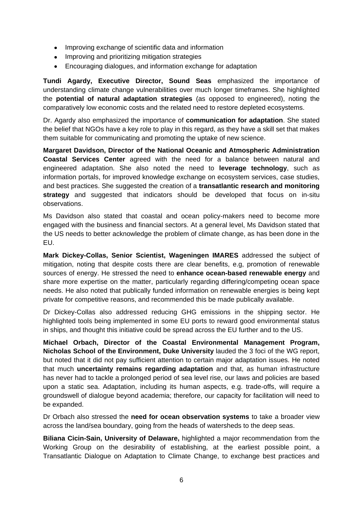- Improving exchange of scientific data and information
- Improving and prioritizing mitigation strategies
- Encouraging dialogues, and information exchange for adaptation

**Tundi Agardy, Executive Director, Sound Seas** emphasized the importance of understanding climate change vulnerabilities over much longer timeframes. She highlighted the **potential of natural adaptation strategies** (as opposed to engineered), noting the comparatively low economic costs and the related need to restore depleted ecosystems.

Dr. Agardy also emphasized the importance of **communication for adaptation**. She stated the belief that NGOs have a key role to play in this regard, as they have a skill set that makes them suitable for communicating and promoting the uptake of new science.

**Margaret Davidson, Director of the National Oceanic and Atmospheric Administration Coastal Services Center** agreed with the need for a balance between natural and engineered adaptation. She also noted the need to **leverage technology**, such as information portals, for improved knowledge exchange on ecosystem services, case studies, and best practices. She suggested the creation of a **transatlantic research and monitoring strategy** and suggested that indicators should be developed that focus on in-situ observations.

Ms Davidson also stated that coastal and ocean policy-makers need to become more engaged with the business and financial sectors. At a general level, Ms Davidson stated that the US needs to better acknowledge the problem of climate change, as has been done in the EU.

**Mark Dickey-Collas, Senior Scientist, Wageningen IMARES** addressed the subject of mitigation, noting that despite costs there are clear benefits, e.g, promotion of renewable sources of energy. He stressed the need to **enhance ocean-based renewable energy** and share more expertise on the matter, particularly regarding differing/competing ocean space needs. He also noted that publically funded information on renewable energies is being kept private for competitive reasons, and recommended this be made publically available.

Dr Dickey-Collas also addressed reducing GHG emissions in the shipping sector. He highlighted tools being implemented in some EU ports to reward good environmental status in ships, and thought this initiative could be spread across the EU further and to the US.

**Michael Orbach, Director of the Coastal Environmental Management Program, Nicholas School of the Environment, Duke University** lauded the 3 foci of the WG report, but noted that it did not pay sufficient attention to certain major adaptation issues. He noted that much **uncertainty remains regarding adaptation** and that, as human infrastructure has never had to tackle a prolonged period of sea level rise, our laws and policies are based upon a static sea. Adaptation, including its human aspects, e.g. trade-offs, will require a groundswell of dialogue beyond academia; therefore, our capacity for facilitation will need to be expanded.

Dr Orbach also stressed the **need for ocean observation systems** to take a broader view across the land/sea boundary, going from the heads of watersheds to the deep seas.

**Biliana Cicin-Sain, University of Delaware,** highlighted a major recommendation from the Working Group on the desirability of establishing, at the earliest possible point, a Transatlantic Dialogue on Adaptation to Climate Change, to exchange best practices and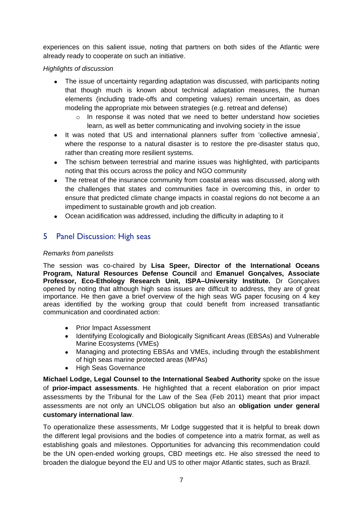experiences on this salient issue, noting that partners on both sides of the Atlantic were already ready to cooperate on such an initiative.

#### *Highlights of discussion*

- The issue of uncertainty regarding adaptation was discussed, with participants noting that though much is known about technical adaptation measures, the human elements (including trade-offs and competing values) remain uncertain, as does modeling the appropriate mix between strategies (e.g. retreat and defense)
	- o In response it was noted that we need to better understand how societies learn, as well as better communicating and involving society in the issue
- It was noted that US and international planners suffer from 'collective amnesia', where the response to a natural disaster is to restore the pre-disaster status quo, rather than creating more resilient systems.
- The schism between terrestrial and marine issues was highlighted, with participants noting that this occurs across the policy and NGO community
- The retreat of the insurance community from coastal areas was discussed, along with the challenges that states and communities face in overcoming this, in order to ensure that predicted climate change impacts in coastal regions do not become a an impediment to sustainable growth and job creation.
- Ocean acidification was addressed, including the difficulty in adapting to it

## <span id="page-6-0"></span>5 Panel Discussion: High seas

#### *Remarks from panelists*

The session was co-chaired by **Lisa Speer, Director of the International Oceans Program, Natural Resources Defense Council** and **Emanuel Gonçalves, Associate Professor, Eco-Ethology Research Unit, ISPA–University Institute.** Dr Gonçalves opened by noting that although high seas issues are difficult to address, they are of great importance. He then gave a brief overview of the high seas WG paper focusing on 4 key areas identified by the working group that could benefit from increased transatlantic communication and coordinated action:

- Prior Impact Assessment
- Identifying Ecologically and Biologically Significant Areas (EBSAs) and Vulnerable Marine Ecosystems (VMEs)
- Managing and protecting EBSAs and VMEs, including through the establishment of high seas marine protected areas (MPAs)
- $\bullet$ High Seas Governance

**Michael Lodge, Legal Counsel to the International Seabed Authority** spoke on the issue of **prior-impact assessments**. He highlighted that a recent elaboration on prior impact assessments by the Tribunal for the Law of the Sea (Feb 2011) meant that prior impact assessments are not only an UNCLOS obligation but also an **obligation under general customary international law**.

To operationalize these assessments, Mr Lodge suggested that it is helpful to break down the different legal provisions and the bodies of competence into a matrix format, as well as establishing goals and milestones. Opportunities for advancing this recommendation could be the UN open-ended working groups, CBD meetings etc. He also stressed the need to broaden the dialogue beyond the EU and US to other major Atlantic states, such as Brazil.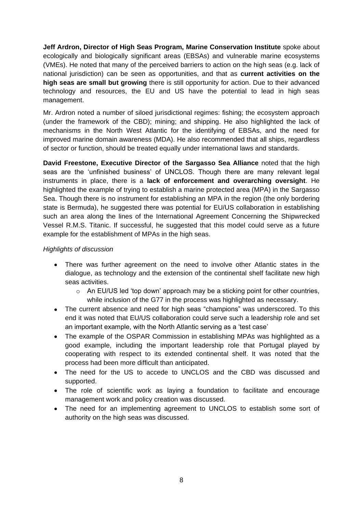**Jeff Ardron, Director of High Seas Program, Marine Conservation Institute** spoke about ecologically and biologically significant areas (EBSAs) and vulnerable marine ecosystems (VMEs). He noted that many of the perceived barriers to action on the high seas (e.g. lack of national jurisdiction) can be seen as opportunities, and that as **current activities on the high seas are small but growing** there is still opportunity for action. Due to their advanced technology and resources, the EU and US have the potential to lead in high seas management.

Mr. Ardron noted a number of siloed jurisdictional regimes: fishing; the ecosystem approach (under the framework of the CBD); mining; and shipping. He also highlighted the lack of mechanisms in the North West Atlantic for the identifying of EBSAs, and the need for improved marine domain awareness (MDA). He also recommended that all ships, regardless of sector or function, should be treated equally under international laws and standards.

**David Freestone, Executive Director of the Sargasso Sea Alliance** noted that the high seas are the "unfinished business" of UNCLOS. Though there are many relevant legal instruments in place, there is a **lack of enforcement and overarching oversight**. He highlighted the example of trying to establish a marine protected area (MPA) in the Sargasso Sea. Though there is no instrument for establishing an MPA in the region (the only bordering state is Bermuda), he suggested there was potential for EU/US collaboration in establishing such an area along the lines of the International Agreement Concerning the Shipwrecked Vessel R.M.S. Titanic. If successful, he suggested that this model could serve as a future example for the establishment of MPAs in the high seas.

#### *Highlights of discussion*

- There was further agreement on the need to involve other Atlantic states in the dialogue, as technology and the extension of the continental shelf facilitate new high seas activities.
	- o An EU/US led "top down" approach may be a sticking point for other countries, while inclusion of the G77 in the process was highlighted as necessary.
- The current absence and need for high seas "champions" was underscored. To this end it was noted that EU/US collaboration could serve such a leadership role and set an important example, with the North Atlantic serving as a "test case"
- The example of the OSPAR Commission in establishing MPAs was highlighted as a good example, including the important leadership role that Portugal played by cooperating with respect to its extended continental shelf. It was noted that the process had been more difficult than anticipated.
- The need for the US to accede to UNCLOS and the CBD was discussed and supported.
- The role of scientific work as laying a foundation to facilitate and encourage management work and policy creation was discussed.
- The need for an implementing agreement to UNCLOS to establish some sort of authority on the high seas was discussed.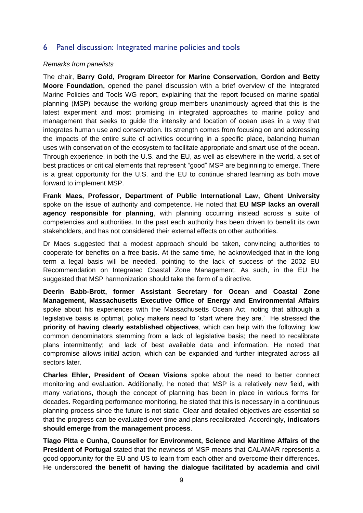## <span id="page-8-0"></span>6 Panel discussion: Integrated marine policies and tools

#### *Remarks from panelists*

The chair, **Barry Gold, Program Director for Marine Conservation, Gordon and Betty Moore Foundation,** opened the panel discussion with a brief overview of the Integrated Marine Policies and Tools WG report, explaining that the report focused on marine spatial planning (MSP) because the working group members unanimously agreed that this is the latest experiment and most promising in integrated approaches to marine policy and management that seeks to guide the intensity and location of ocean uses in a way that integrates human use and conservation. Its strength comes from focusing on and addressing the impacts of the entire suite of activities occurring in a specific place, balancing human uses with conservation of the ecosystem to facilitate appropriate and smart use of the ocean. Through experience, in both the U.S. and the EU, as well as elsewhere in the world, a set of best practices or critical elements that represent "good" MSP are beginning to emerge. There is a great opportunity for the U.S. and the EU to continue shared learning as both move forward to implement MSP.

**Frank Maes, Professor, Department of Public International Law, Ghent University** spoke on the issue of authority and competence. He noted that **EU MSP lacks an overall agency responsible for planning**, with planning occurring instead across a suite of competencies and authorities. In the past each authority has been driven to benefit its own stakeholders, and has not considered their external effects on other authorities.

Dr Maes suggested that a modest approach should be taken, convincing authorities to cooperate for benefits on a free basis. At the same time, he acknowledged that in the long term a legal basis will be needed, pointing to the lack of success of the 2002 EU Recommendation on Integrated Coastal Zone Management. As such, in the EU he suggested that MSP harmonization should take the form of a directive.

**Deerin Babb-Brott, former Assistant Secretary for Ocean and Coastal Zone Management, Massachusetts Executive Office of Energy and Environmental Affairs** spoke about his experiences with the Massachusetts Ocean Act, noting that although a legislative basis is optimal, policy makers need to "start where they are." He stressed **the priority of having clearly established objectives**, which can help with the following: low common denominators stemming from a lack of legislative basis; the need to recalibrate plans intermittently; and lack of best available data and information. He noted that compromise allows initial action, which can be expanded and further integrated across all sectors later.

**Charles Ehler, President of Ocean Visions** spoke about the need to better connect monitoring and evaluation. Additionally, he noted that MSP is a relatively new field, with many variations, though the concept of planning has been in place in various forms for decades. Regarding performance monitoring, he stated that this is necessary in a continuous planning process since the future is not static. Clear and detailed objectives are essential so that the progress can be evaluated over time and plans recalibrated. Accordingly, **indicators should emerge from the management process**.

**Tiago Pitta e Cunha, Counsellor for Environment, Science and Maritime Affairs of the President of Portugal** stated that the newness of MSP means that CALAMAR represents a good opportunity for the EU and US to learn from each other and overcome their differences. He underscored **the benefit of having the dialogue facilitated by academia and civil**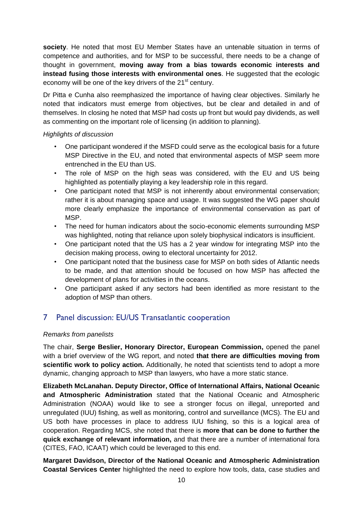**society**. He noted that most EU Member States have an untenable situation in terms of competence and authorities, and for MSP to be successful, there needs to be a change of thought in government, **moving away from a bias towards economic interests and instead fusing those interests with environmental ones**. He suggested that the ecologic economy will be one of the key drivers of the  $21<sup>st</sup>$  century.

Dr Pitta e Cunha also reemphasized the importance of having clear objectives. Similarly he noted that indicators must emerge from objectives, but be clear and detailed in and of themselves. In closing he noted that MSP had costs up front but would pay dividends, as well as commenting on the important role of licensing (in addition to planning).

#### *Highlights of discussion*

- One participant wondered if the MSFD could serve as the ecological basis for a future MSP Directive in the EU, and noted that environmental aspects of MSP seem more entrenched in the EU than US.
- The role of MSP on the high seas was considered, with the EU and US being highlighted as potentially playing a key leadership role in this regard.
- One participant noted that MSP is not inherently about environmental conservation; rather it is about managing space and usage. It was suggested the WG paper should more clearly emphasize the importance of environmental conservation as part of MSP.
- The need for human indicators about the socio-economic elements surrounding MSP was highlighted, noting that reliance upon solely biophysical indicators is insufficient.
- One participant noted that the US has a 2 year window for integrating MSP into the decision making process, owing to electoral uncertainty for 2012.
- One participant noted that the business case for MSP on both sides of Atlantic needs to be made, and that attention should be focused on how MSP has affected the development of plans for activities in the oceans.
- One participant asked if any sectors had been identified as more resistant to the adoption of MSP than others.

## <span id="page-9-0"></span>7 Panel discussion: EU/US Transatlantic cooperation

## *Remarks from panelists*

The chair, **Serge Beslier, Honorary Director, European Commission,** opened the panel with a brief overview of the WG report, and noted **that there are difficulties moving from scientific work to policy action.** Additionally, he noted that scientists tend to adopt a more dynamic, changing approach to MSP than lawyers, who have a more static stance.

**Elizabeth McLanahan. Deputy Director, Office of International Affairs, National Oceanic and Atmospheric Administration** stated that the National Oceanic and Atmospheric Administration (NOAA) would like to see a stronger focus on illegal, unreported and unregulated (IUU) fishing, as well as monitoring, control and surveillance (MCS). The EU and US both have processes in place to address IUU fishing, so this is a logical area of cooperation. Regarding MCS, she noted that there is **more that can be done to further the quick exchange of relevant information,** and that there are a number of international fora (CITES, FAO, ICAAT) which could be leveraged to this end.

**Margaret Davidson, Director of the National Oceanic and Atmospheric Administration Coastal Services Center** highlighted the need to explore how tools, data, case studies and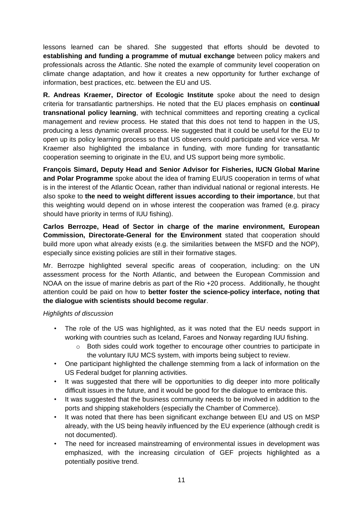lessons learned can be shared. She suggested that efforts should be devoted to **establishing and funding a programme of mutual exchange** between policy makers and professionals across the Atlantic. She noted the example of community level cooperation on climate change adaptation, and how it creates a new opportunity for further exchange of information, best practices, etc. between the EU and US.

**R. Andreas Kraemer, Director of Ecologic Institute** spoke about the need to design criteria for transatlantic partnerships. He noted that the EU places emphasis on **continual transnational policy learning**, with technical committees and reporting creating a cyclical management and review process. He stated that this does not tend to happen in the US, producing a less dynamic overall process. He suggested that it could be useful for the EU to open up its policy learning process so that US observers could participate and vice versa. Mr Kraemer also highlighted the imbalance in funding, with more funding for transatlantic cooperation seeming to originate in the EU, and US support being more symbolic.

**François Simard, Deputy Head and Senior Advisor for Fisheries, IUCN Global Marine and Polar Programme** spoke about the idea of framing EU/US cooperation in terms of what is in the interest of the Atlantic Ocean, rather than individual national or regional interests. He also spoke to **the need to weight different issues according to their importance**, but that this weighting would depend on in whose interest the cooperation was framed (e.g. piracy should have priority in terms of IUU fishing).

**Carlos Berrozpe, Head of Sector in charge of the marine environment, European Commission, Directorate-General for the Environment** stated that cooperation should build more upon what already exists (e.g. the similarities between the MSFD and the NOP), especially since existing policies are still in their formative stages.

Mr. Berrozpe highlighted several specific areas of cooperation, including: on the UN assessment process for the North Atlantic, and between the European Commission and NOAA on the issue of marine debris as part of the Rio +20 process. Additionally, he thought attention could be paid on how to **better foster the science-policy interface, noting that the dialogue with scientists should become regular**.

#### *Highlights of discussion*

- The role of the US was highlighted, as it was noted that the EU needs support in working with countries such as Iceland, Faroes and Norway regarding IUU fishing.
	- $\circ$  Both sides could work together to encourage other countries to participate in the voluntary IUU MCS system, with imports being subject to review.
- One participant highlighted the challenge stemming from a lack of information on the US Federal budget for planning activities.
- It was suggested that there will be opportunities to dig deeper into more politically difficult issues in the future, and it would be good for the dialogue to embrace this.
- It was suggested that the business community needs to be involved in addition to the ports and shipping stakeholders (especially the Chamber of Commerce).
- It was noted that there has been significant exchange between EU and US on MSP already, with the US being heavily influenced by the EU experience (although credit is not documented).
- The need for increased mainstreaming of environmental issues in development was emphasized, with the increasing circulation of GEF projects highlighted as a potentially positive trend.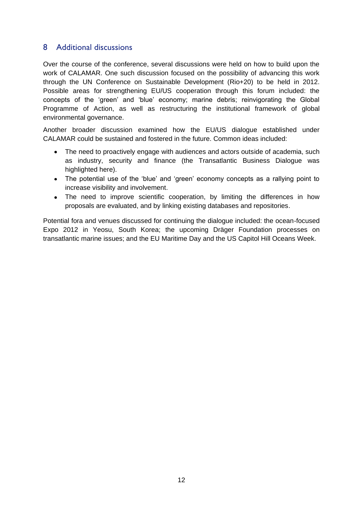## <span id="page-11-0"></span>8 Additional discussions

Over the course of the conference, several discussions were held on how to build upon the work of CALAMAR. One such discussion focused on the possibility of advancing this work through the UN Conference on Sustainable Development (Rio+20) to be held in 2012. Possible areas for strengthening EU/US cooperation through this forum included: the concepts of the "green" and "blue" economy; marine debris; reinvigorating the Global Programme of Action, as well as restructuring the institutional framework of global environmental governance.

Another broader discussion examined how the EU/US dialogue established under CALAMAR could be sustained and fostered in the future. Common ideas included:

- The need to proactively engage with audiences and actors outside of academia, such as industry, security and finance (the Transatlantic Business Dialogue was highlighted here).
- The potential use of the 'blue' and 'green' economy concepts as a rallying point to increase visibility and involvement.
- The need to improve scientific cooperation, by limiting the differences in how proposals are evaluated, and by linking existing databases and repositories.

Potential fora and venues discussed for continuing the dialogue included: the ocean-focused Expo 2012 in Yeosu, South Korea; the upcoming Dräger Foundation processes on transatlantic marine issues; and the EU Maritime Day and the US Capitol Hill Oceans Week.